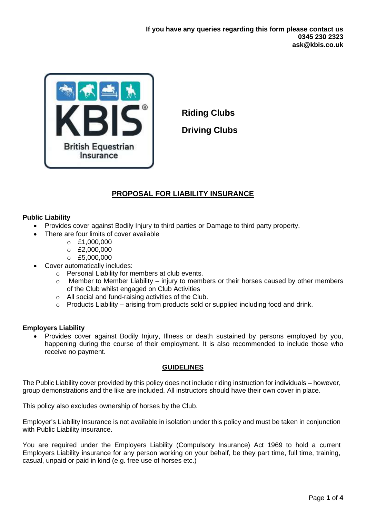

**Riding Clubs Driving Clubs**

# **PROPOSAL FOR LIABILITY INSURANCE**

# **Public Liability**

- Provides cover against Bodily Injury to third parties or Damage to third party property.
	- There are four limits of cover available
		- $O E1,000,000$
		- $O$  £2,000,000
		- $O$  £5,000,000
- Cover automatically includes:
	- o Personal Liability for members at club events.
	- $\circ$  Member to Member Liability injury to members or their horses caused by other members of the Club whilst engaged on Club Activities
	- o All social and fund-raising activities of the Club.
	- $\circ$  Products Liability arising from products sold or supplied including food and drink.

## **Employers Liability**

• Provides cover against Bodily Injury, Illness or death sustained by persons employed by you, happening during the course of their employment. It is also recommended to include those who receive no payment.

## **GUIDELINES**

The Public Liability cover provided by this policy does not include riding instruction for individuals – however, group demonstrations and the like are included. All instructors should have their own cover in place.

This policy also excludes ownership of horses by the Club.

Employer's Liability Insurance is not available in isolation under this policy and must be taken in conjunction with Public Liability insurance.

You are required under the Employers Liability (Compulsory Insurance) Act 1969 to hold a current Employers Liability insurance for any person working on your behalf, be they part time, full time, training, casual, unpaid or paid in kind (e.g. free use of horses etc.)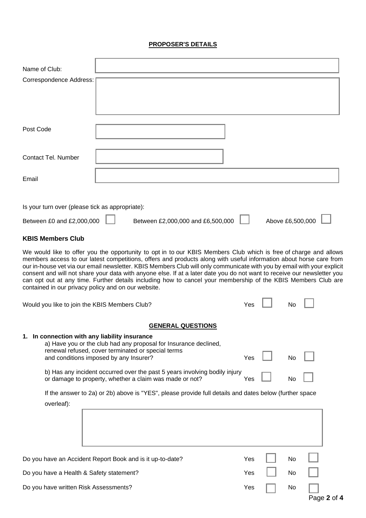# **PROPOSER'S DETAILS**

| Name of Club:                                                                                                                                                                                                                                                                                                                                                                                                                                                                                                                                                                                                                                                        |  |  |                          |                                   |     |                  |  |
|----------------------------------------------------------------------------------------------------------------------------------------------------------------------------------------------------------------------------------------------------------------------------------------------------------------------------------------------------------------------------------------------------------------------------------------------------------------------------------------------------------------------------------------------------------------------------------------------------------------------------------------------------------------------|--|--|--------------------------|-----------------------------------|-----|------------------|--|
| Correspondence Address:                                                                                                                                                                                                                                                                                                                                                                                                                                                                                                                                                                                                                                              |  |  |                          |                                   |     |                  |  |
|                                                                                                                                                                                                                                                                                                                                                                                                                                                                                                                                                                                                                                                                      |  |  |                          |                                   |     |                  |  |
|                                                                                                                                                                                                                                                                                                                                                                                                                                                                                                                                                                                                                                                                      |  |  |                          |                                   |     |                  |  |
|                                                                                                                                                                                                                                                                                                                                                                                                                                                                                                                                                                                                                                                                      |  |  |                          |                                   |     |                  |  |
| Post Code                                                                                                                                                                                                                                                                                                                                                                                                                                                                                                                                                                                                                                                            |  |  |                          |                                   |     |                  |  |
|                                                                                                                                                                                                                                                                                                                                                                                                                                                                                                                                                                                                                                                                      |  |  |                          |                                   |     |                  |  |
| <b>Contact Tel. Number</b>                                                                                                                                                                                                                                                                                                                                                                                                                                                                                                                                                                                                                                           |  |  |                          |                                   |     |                  |  |
| Email                                                                                                                                                                                                                                                                                                                                                                                                                                                                                                                                                                                                                                                                |  |  |                          |                                   |     |                  |  |
|                                                                                                                                                                                                                                                                                                                                                                                                                                                                                                                                                                                                                                                                      |  |  |                          |                                   |     |                  |  |
| Is your turn over (please tick as appropriate):                                                                                                                                                                                                                                                                                                                                                                                                                                                                                                                                                                                                                      |  |  |                          |                                   |     |                  |  |
| Between £0 and £2,000,000                                                                                                                                                                                                                                                                                                                                                                                                                                                                                                                                                                                                                                            |  |  |                          | Between £2,000,000 and £6,500,000 |     | Above £6,500,000 |  |
| <b>KBIS Members Club</b>                                                                                                                                                                                                                                                                                                                                                                                                                                                                                                                                                                                                                                             |  |  |                          |                                   |     |                  |  |
| We would like to offer you the opportunity to opt in to our KBIS Members Club which is free of charge and allows<br>members access to our latest competitions, offers and products along with useful information about horse care from<br>our in-house vet via our email newsletter. KBIS Members Club will only communicate with you by email with your explicit<br>consent and will not share your data with anyone else. If at a later date you do not want to receive our newsletter you<br>can opt out at any time. Further details including how to cancel your membership of the KBIS Members Club are<br>contained in our privacy policy and on our website. |  |  |                          |                                   |     |                  |  |
| Would you like to join the KBIS Members Club?                                                                                                                                                                                                                                                                                                                                                                                                                                                                                                                                                                                                                        |  |  |                          |                                   | Yes | No               |  |
|                                                                                                                                                                                                                                                                                                                                                                                                                                                                                                                                                                                                                                                                      |  |  | <b>GENERAL QUESTIONS</b> |                                   |     |                  |  |
| 1. In connection with any liability insurance<br>a) Have you or the club had any proposal for Insurance declined,<br>renewal refused, cover terminated or special terms<br>and conditions imposed by any Insurer?                                                                                                                                                                                                                                                                                                                                                                                                                                                    |  |  |                          |                                   | Yes | No               |  |
|                                                                                                                                                                                                                                                                                                                                                                                                                                                                                                                                                                                                                                                                      |  |  |                          |                                   |     |                  |  |
| b) Has any incident occurred over the past 5 years involving bodily injury<br>or damage to property, whether a claim was made or not?                                                                                                                                                                                                                                                                                                                                                                                                                                                                                                                                |  |  |                          |                                   | Yes | No               |  |
| If the answer to 2a) or 2b) above is "YES", please provide full details and dates below (further space<br>overleaf):                                                                                                                                                                                                                                                                                                                                                                                                                                                                                                                                                 |  |  |                          |                                   |     |                  |  |
|                                                                                                                                                                                                                                                                                                                                                                                                                                                                                                                                                                                                                                                                      |  |  |                          |                                   |     |                  |  |
| Do you have an Accident Report Book and is it up-to-date?                                                                                                                                                                                                                                                                                                                                                                                                                                                                                                                                                                                                            |  |  |                          |                                   | Yes | No               |  |
| Do you have a Health & Safety statement?                                                                                                                                                                                                                                                                                                                                                                                                                                                                                                                                                                                                                             |  |  |                          | Yes                               | No  |                  |  |
| Do you have written Risk Assessments?                                                                                                                                                                                                                                                                                                                                                                                                                                                                                                                                                                                                                                |  |  |                          |                                   | Yes | No               |  |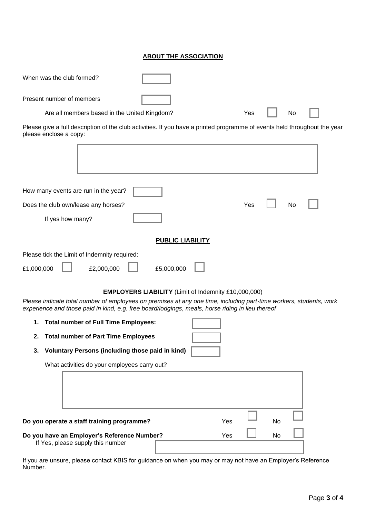## **ABOUT THE ASSOCIATION**

| When was the club formed?                                                                                                                                                                                              |                         |     |     |    |    |  |
|------------------------------------------------------------------------------------------------------------------------------------------------------------------------------------------------------------------------|-------------------------|-----|-----|----|----|--|
| Present number of members                                                                                                                                                                                              |                         |     |     |    |    |  |
| Are all members based in the United Kingdom?                                                                                                                                                                           |                         |     | Yes |    | No |  |
| Please give a full description of the club activities. If you have a printed programme of events held throughout the year<br>please enclose a copy:                                                                    |                         |     |     |    |    |  |
|                                                                                                                                                                                                                        |                         |     |     |    |    |  |
| How many events are run in the year?                                                                                                                                                                                   |                         |     |     |    |    |  |
| Does the club own/lease any horses?                                                                                                                                                                                    |                         |     | Yes |    | No |  |
| If yes how many?                                                                                                                                                                                                       |                         |     |     |    |    |  |
|                                                                                                                                                                                                                        | <b>PUBLIC LIABILITY</b> |     |     |    |    |  |
| Please tick the Limit of Indemnity required:<br>£1,000,000<br>£2,000,000                                                                                                                                               | £5,000,000              |     |     |    |    |  |
| <b>EMPLOYERS LIABILITY</b> (Limit of Indemnity £10,000,000)                                                                                                                                                            |                         |     |     |    |    |  |
| Please indicate total number of employees on premises at any one time, including part-time workers, students, work<br>experience and those paid in kind, e.g. free board/lodgings, meals, horse riding in lieu thereof |                         |     |     |    |    |  |
| <b>Total number of Full Time Employees:</b><br>1.                                                                                                                                                                      |                         |     |     |    |    |  |
| <b>Total number of Part Time Employees</b><br>2.                                                                                                                                                                       |                         |     |     |    |    |  |
| Voluntary Persons (including those paid in kind)<br>3.                                                                                                                                                                 |                         |     |     |    |    |  |
| What activities do your employees carry out?                                                                                                                                                                           |                         |     |     |    |    |  |
|                                                                                                                                                                                                                        |                         |     |     |    |    |  |
| Do you operate a staff training programme?                                                                                                                                                                             |                         | Yes |     | No |    |  |
| Do you have an Employer's Reference Number?<br>If Yes, please supply this number                                                                                                                                       |                         | Yes |     | No |    |  |

If you are unsure, please contact KBIS for guidance on when you may or may not have an Employer's Reference Number.